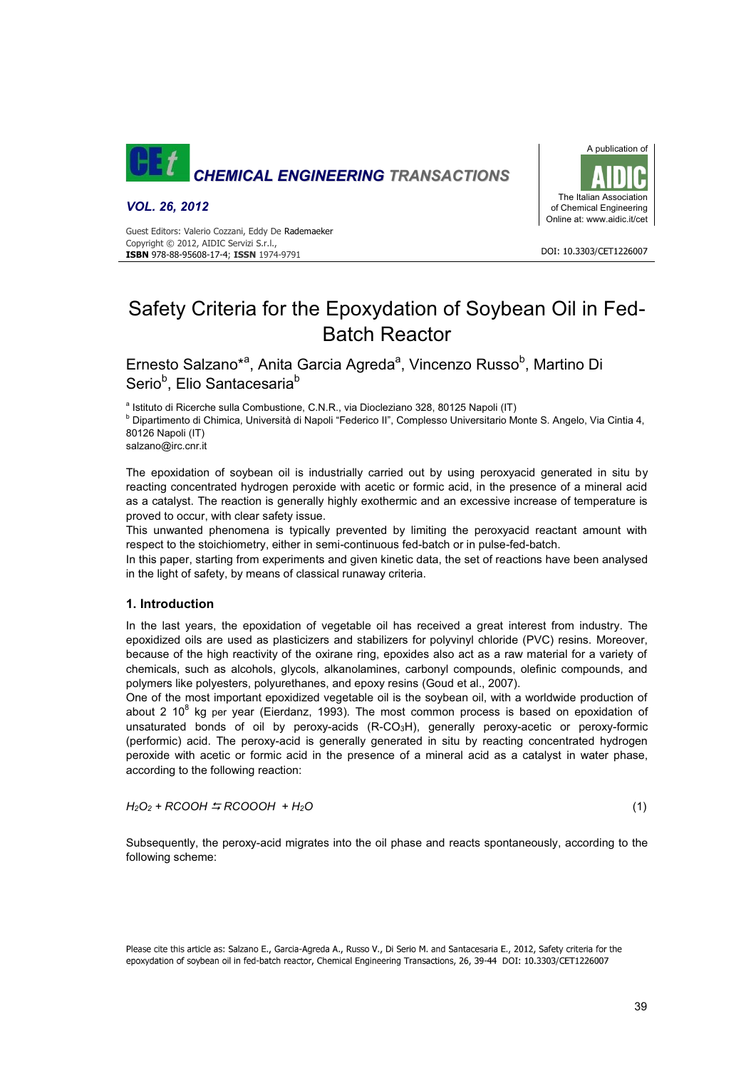

*VOL. 26, 2012*

Guest Editors: Valerio Cozzani, Eddy De Rademaeker Copyright © 2012, AIDIC Servizi S.r.l., **ISBN** 978-88-95608-17-4; **ISSN** 1974-9791



DOI: 10.3303/CET1226007

# Safety Criteria for the Epoxydation of Soybean Oil in Fed-Batch Reactor

Ernesto Salzano<sup>\*a</sup>, Anita Garcia Agreda<sup>a</sup>, Vincenzo Russo<sup>b</sup>, Martino Di Serio<sup>b</sup>, Elio Santacesaria<sup>b</sup>

a Istituto di Ricerche sulla Combustione, C.N.R., via Diocleziano 328, 80125 Napoli (IT)<br><sup>b</sup> Dipertimente di Chimies, Università di Napoli "Federice II", Complesso Universitaria M

<sup>b</sup> Dipartimento di Chimica, Università di Napoli "Federico II", Complesso Universitario Monte S. Angelo, Via Cintia 4, 80126 Napoli (IT)

salzano@irc.cnr.it

The epoxidation of soybean oil is industrially carried out by using peroxyacid generated in situ by reacting concentrated hydrogen peroxide with acetic or formic acid, in the presence of a mineral acid as a catalyst. The reaction is generally highly exothermic and an excessive increase of temperature is proved to occur, with clear safety issue.

This unwanted phenomena is typically prevented by limiting the peroxyacid reactant amount with respect to the stoichiometry, either in semi-continuous fed-batch or in pulse-fed-batch.

In this paper, starting from experiments and given kinetic data, the set of reactions have been analysed in the light of safety, by means of classical runaway criteria.

# **1. Introduction**

In the last years, the epoxidation of vegetable oil has received a great interest from industry. The epoxidized oils are used as plasticizers and stabilizers for polyvinyl chloride (PVC) resins. Moreover, because of the high reactivity of the oxirane ring, epoxides also act as a raw material for a variety of chemicals, such as alcohols, glycols, alkanolamines, carbonyl compounds, olefinic compounds, and polymers like polyesters, polyurethanes, and epoxy resins (Goud et al., 2007).

One of the most important epoxidized vegetable oil is the soybean oil, with a worldwide production of about 2 10<sup>8</sup> kg per year (Eierdanz, 1993). The most common process is based on epoxidation of unsaturated bonds of oil by peroxy-acids (R-CO3H), generally peroxy-acetic or peroxy-formic (performic) acid. The peroxy-acid is generally generated in situ by reacting concentrated hydrogen peroxide with acetic or formic acid in the presence of a mineral acid as a catalyst in water phase, according to the following reaction:

$$
H_2O_2 + RCOOH \stackrel{\cdot}{\rightarrow} RCOOOH + H_2O \tag{1}
$$

Subsequently, the peroxy-acid migrates into the oil phase and reacts spontaneously, according to the following scheme:

Please cite this article as: Salzano E., Garcia-Agreda A., Russo V., Di Serio M. and Santacesaria E., 2012, Safety criteria for the epoxydation of soybean oil in fed-batch reactor, Chemical Engineering Transactions, 26, 39-44 DOI: 10.3303/CET1226007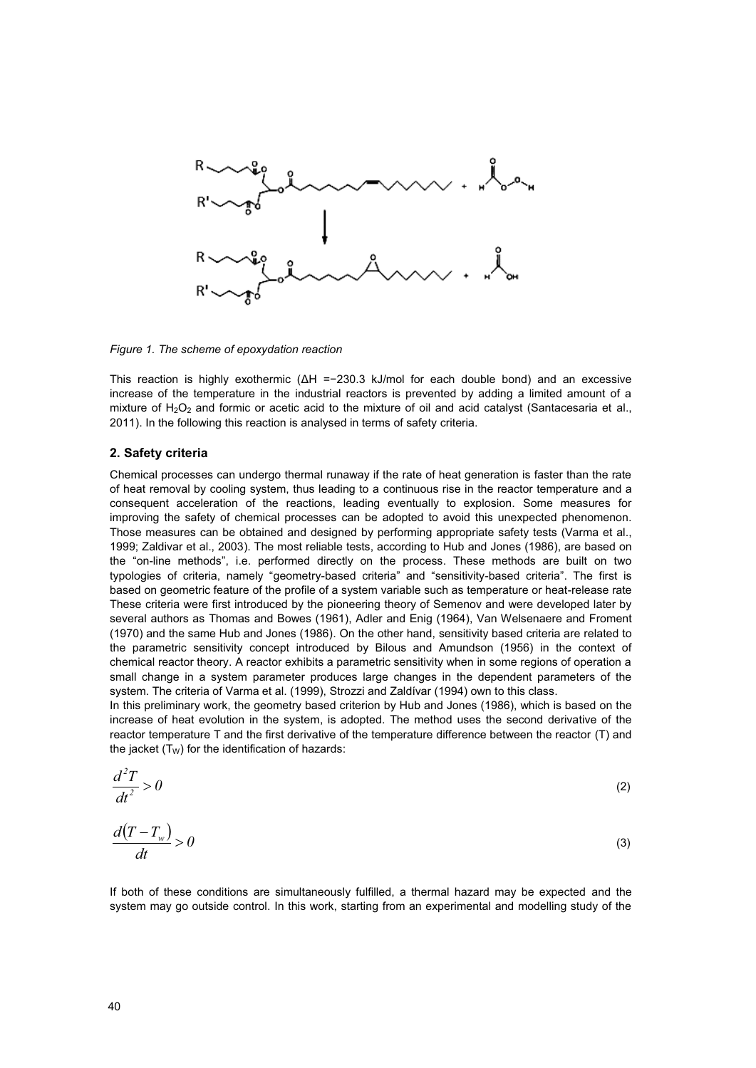

*Figure 1. The scheme of epoxydation reaction* 

This reaction is highly exothermic (ΔH =−230.3 kJ/mol for each double bond) and an excessive increase of the temperature in the industrial reactors is prevented by adding a limited amount of a mixture of H<sub>2</sub>O<sub>2</sub> and formic or acetic acid to the mixture of oil and acid catalyst (Santacesaria et al., 2011). In the following this reaction is analysed in terms of safety criteria.

# **2. Safety criteria**

Chemical processes can undergo thermal runaway if the rate of heat generation is faster than the rate of heat removal by cooling system, thus leading to a continuous rise in the reactor temperature and a consequent acceleration of the reactions, leading eventually to explosion. Some measures for improving the safety of chemical processes can be adopted to avoid this unexpected phenomenon. Those measures can be obtained and designed by performing appropriate safety tests (Varma et al., 1999; Zaldivar et al., 2003). The most reliable tests, according to Hub and Jones (1986), are based on the "on-line methods", i.e. performed directly on the process. These methods are built on two typologies of criteria, namely "geometry-based criteria" and "sensitivity-based criteria". The first is based on geometric feature of the profile of a system variable such as temperature or heat-release rate These criteria were first introduced by the pioneering theory of Semenov and were developed later by several authors as Thomas and Bowes (1961), Adler and Enig (1964), Van Welsenaere and Froment (1970) and the same Hub and Jones (1986). On the other hand, sensitivity based criteria are related to the parametric sensitivity concept introduced by Bilous and Amundson (1956) in the context of chemical reactor theory. A reactor exhibits a parametric sensitivity when in some regions of operation a small change in a system parameter produces large changes in the dependent parameters of the system. The criteria of Varma et al. (1999), Strozzi and Zaldívar (1994) own to this class.

In this preliminary work, the geometry based criterion by Hub and Jones (1986), which is based on the increase of heat evolution in the system, is adopted. The method uses the second derivative of the reactor temperature T and the first derivative of the temperature difference between the reactor (T) and the jacket  $(T_W)$  for the identification of hazards:

$$
\frac{d^2T}{dt^2} > 0\tag{2}
$$

$$
\frac{d(T - T_w)}{dt} > 0\tag{3}
$$

If both of these conditions are simultaneously fulfilled, a thermal hazard may be expected and the system may go outside control. In this work, starting from an experimental and modelling study of the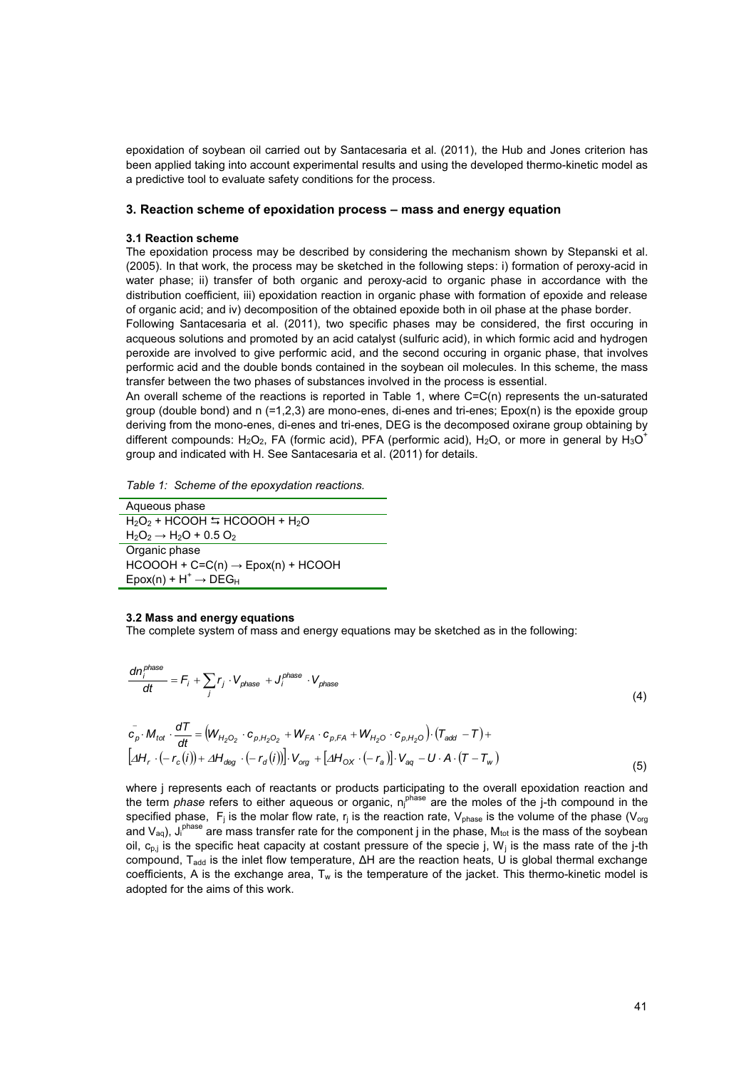epoxidation of soybean oil carried out by Santacesaria et al. (2011), the Hub and Jones criterion has been applied taking into account experimental results and using the developed thermo-kinetic model as a predictive tool to evaluate safety conditions for the process.

### **3. Reaction scheme of epoxidation process – mass and energy equation**

### **3.1 Reaction scheme**

The epoxidation process may be described by considering the mechanism shown by Stepanski et al. (2005). In that work, the process may be sketched in the following steps: i) formation of peroxy-acid in water phase; ii) transfer of both organic and peroxy-acid to organic phase in accordance with the distribution coefficient, iii) epoxidation reaction in organic phase with formation of epoxide and release of organic acid; and iv) decomposition of the obtained epoxide both in oil phase at the phase border.

Following Santacesaria et al. (2011), two specific phases may be considered, the first occuring in acqueous solutions and promoted by an acid catalyst (sulfuric acid), in which formic acid and hydrogen peroxide are involved to give performic acid, and the second occuring in organic phase, that involves performic acid and the double bonds contained in the soybean oil molecules. In this scheme, the mass transfer between the two phases of substances involved in the process is essential.

An overall scheme of the reactions is reported in Table 1, where C=C(n) represents the un-saturated group (double bond) and n (=1,2,3) are mono-enes, di-enes and tri-enes; Epox(n) is the epoxide group deriving from the mono-enes, di-enes and tri-enes, DEG is the decomposed oxirane group obtaining by different compounds: H<sub>2</sub>O<sub>2</sub>, FA (formic acid), PFA (performic acid), H<sub>2</sub>O, or more in general by H<sub>3</sub>O<sup>+</sup> group and indicated with H. See Santacesaria et al. (2011) for details.

*Table 1: Scheme of the epoxydation reactions.* 

| Aqueous phase                                                 |
|---------------------------------------------------------------|
| $H_2O_2$ + HCOOH $\leftrightarrows$ HCOOOH + H <sub>2</sub> O |
| $H_2O_2 \rightarrow H_2O + 0.5 O_2$                           |
| Organic phase                                                 |
| $HCOOOH + C=C(n) \rightarrow Epox(n) + HCOOH$                 |
| $E$ pox(n) + $H^+$ $\rightarrow$ DEG <sub>H</sub>             |

#### **3.2 Mass and energy equations**

The complete system of mass and energy equations may be sketched as in the following:

$$
\frac{dn_i^{phase}}{dt} = F_i + \sum_j r_j \cdot V_{phase} + J_i^{phase} \cdot V_{phase}
$$
\n(4)

$$
\overline{c}_p \cdot M_{tot} \cdot \frac{dT}{dt} = \left(W_{H_2O_2} \cdot c_{p,H_2O_2} + W_{FA} \cdot c_{p,FA} + W_{H_2O} \cdot c_{p,H_2O}\right) \cdot (T_{add} - T) +
$$
\n
$$
\left[ \Delta H_r \cdot \left(-r_c(i)\right) + \Delta H_{deg} \cdot \left(-r_d(i)\right) \right] \cdot V_{org} + \left[ \Delta H_{OX} \cdot \left(-r_a\right) \right] \cdot V_{aq} - U \cdot A \cdot (T - T_w)
$$
\n(5)

where j represents each of reactants or products participating to the overall epoxidation reaction and the term *phase* refers to either aqueous or organic, n<sub>j</sub><sup>hase</sup> are the moles of the j-th compound in the specified phase, F<sub>i</sub> is the molar flow rate, r<sub>i</sub> is the reaction rate, V<sub>phase</sub> is the volume of the phase (V<sub>org</sub>) and V<sub>aq</sub>), J<sub>i</sub><sup>phase</sup> are mass transfer rate for the component j in the phase, M<sub>tot</sub> is the mass of the soybean oil,  $c_{p,i}$  is the specific heat capacity at costant pressure of the specie j, W<sub>i</sub> is the mass rate of the j-th compound, T<sub>add</sub> is the inlet flow temperature, ΔH are the reaction heats, U is global thermal exchange coefficients, A is the exchange area,  $T_w$  is the temperature of the jacket. This thermo-kinetic model is adopted for the aims of this work.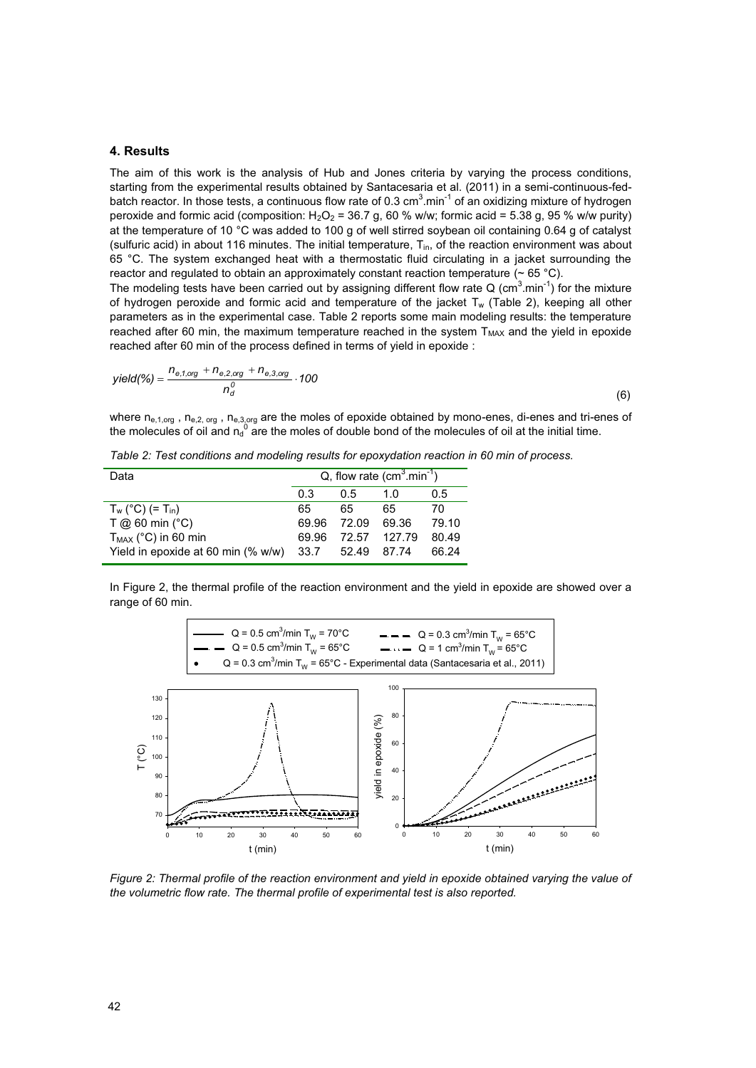# **4. Results**

The aim of this work is the analysis of Hub and Jones criteria by varying the process conditions, starting from the experimental results obtained by Santacesaria et al. (2011) in a semi-continuous-fedbatch reactor. In those tests, a continuous flow rate of 0.3 cm $^3$ .min<sup>-1</sup> of an oxidizing mixture of hydrogen peroxide and formic acid (composition:  $H_2O_2 = 36.7$  g, 60 % w/w; formic acid = 5.38 g, 95 % w/w purity) at the temperature of 10 °C was added to 100 g of well stirred soybean oil containing 0.64 g of catalyst (sulfuric acid) in about 116 minutes. The initial temperature,  $T_{in}$ , of the reaction environment was about 65 °C. The system exchanged heat with a thermostatic fluid circulating in a jacket surrounding the reactor and regulated to obtain an approximately constant reaction temperature ( $\sim$  65 °C).

The modeling tests have been carried out by assigning different flow rate Q (cm<sup>3</sup>.min<sup>-1</sup>) for the mixture of hydrogen peroxide and formic acid and temperature of the jacket  $T_w$  (Table 2), keeping all other parameters as in the experimental case. Table 2 reports some main modeling results: the temperature reached after 60 min, the maximum temperature reached in the system  $T<sub>MAX</sub>$  and the yield in epoxide reached after 60 min of the process defined in terms of yield in epoxide :

$$
yield(\%) = \frac{n_{e,1,org} + n_{e,2,org} + n_{e,3,org}}{n_d^0} \cdot 100
$$
\n(6)

where  $n_{e,1,org}$ ,  $n_{e,2,org}$ ,  $n_{e,3,org}$  are the moles of epoxide obtained by mono-enes, di-enes and tri-enes of the molecules of oil and  $n_q^0$  are the moles of double bond of the molecules of oil at the initial time.

*Table 2: Test conditions and modeling results for epoxydation reaction in 60 min of process.* 

| Data                                       | Q, flow rate $(cm3.min-1)$ |             |              |       |  |
|--------------------------------------------|----------------------------|-------------|--------------|-------|--|
|                                            | 0.3                        | 0.5         | 1.0          | 0.5   |  |
| $T_w (°C) (= T_{in})$                      | 65                         | 65          | 65           | 70    |  |
| $T$ @ 60 min (°C)                          | 69.96                      | 72.09       | 69.36        | 79.10 |  |
| $T_{MAX}$ (°C) in 60 min                   | 69.96                      |             | 72.57 127.79 | 80.49 |  |
| Yield in epoxide at 60 min $(\% w/w)$ 33.7 |                            | 52.49 87.74 |              | 66.24 |  |

In Figure 2, the thermal profile of the reaction environment and the yield in epoxide are showed over a range of 60 min.



*Figure 2: Thermal profile of the reaction environment and yield in epoxide obtained varying the value of the volumetric flow rate. The thermal profile of experimental test is also reported.*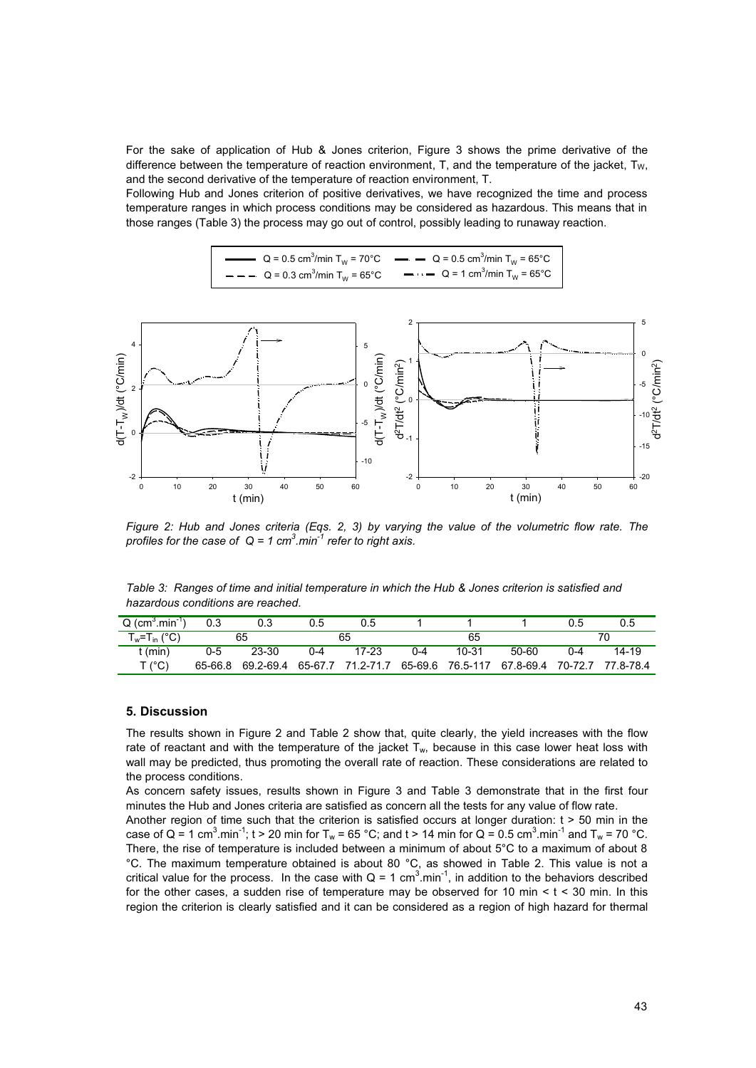For the sake of application of Hub & Jones criterion, Figure 3 shows the prime derivative of the difference between the temperature of reaction environment, T, and the temperature of the jacket,  $T_W$ , and the second derivative of the temperature of reaction environment, T.

Following Hub and Jones criterion of positive derivatives, we have recognized the time and process temperature ranges in which process conditions may be considered as hazardous. This means that in those ranges (Table 3) the process may go out of control, possibly leading to runaway reaction.

Q = 0.5 cm3 /min TW = 70°C Q = 0.5 cm3 /min TW = 65°C Q = 0.3 cm3 /min TW = 65°C Q = 1 cm3 /min TW = 65°C



*Figure 2: Hub and Jones criteria (Eqs. 2, 3) by varying the value of the volumetric flow rate. The profiles for the case of Q = 1 cm3 .min-1 refer to right axis.* 

*Table 3: Ranges of time and initial temperature in which the Hub & Jones criterion is satisfied and hazardous conditions are reached.* 

| $Q$ (cm <sup>3</sup> , min <sup>-1</sup> ) | 0.3     |       | 0.5     | 0.5   |     |       |                                                                          | 0.5 | 0.5       |
|--------------------------------------------|---------|-------|---------|-------|-----|-------|--------------------------------------------------------------------------|-----|-----------|
| $T_w=T_{\text{in}}$ (°C)                   | 65      |       | 65      |       | 65  |       |                                                                          |     |           |
| : (min)                                    | $0 - 5$ | 23-30 | $0 - 4$ | 17-23 | በ-4 | 10-31 | 50-60                                                                    | በ-4 | $14 - 19$ |
| T (°C)                                     | 65-66.8 |       |         |       |     |       | 69.2-69.4 65-67.7 71.2-71.7 65-69.6 76.5-117 67.8-69.4 70-72.7 77.8-78.4 |     |           |

## **5. Discussion**

The results shown in Figure 2 and Table 2 show that, quite clearly, the yield increases with the flow rate of reactant and with the temperature of the jacket  $T_w$ , because in this case lower heat loss with wall may be predicted, thus promoting the overall rate of reaction. These considerations are related to the process conditions.

As concern safety issues, results shown in Figure 3 and Table 3 demonstrate that in the first four minutes the Hub and Jones criteria are satisfied as concern all the tests for any value of flow rate.

Another region of time such that the criterion is satisfied occurs at longer duration:  $t > 50$  min in the case of Q = 1 cm<sup>3</sup>.min<sup>-1</sup>; t > 20 min for T<sub>w</sub> = 65 °C; and t > 14 min for Q = 0.5 cm<sup>3</sup>.min<sup>-1</sup> and T<sub>w</sub> = 70 °C. There, the rise of temperature is included between a minimum of about 5°C to a maximum of about 8 °C. The maximum temperature obtained is about 80 °C, as showed in Table 2. This value is not a critical value for the process. In the case with  $Q = 1$  cm<sup>3</sup>.min<sup>-1</sup>, in addition to the behaviors described for the other cases, a sudden rise of temperature may be observed for 10 min  $\lt$  t  $\lt$  30 min. In this region the criterion is clearly satisfied and it can be considered as a region of high hazard for thermal